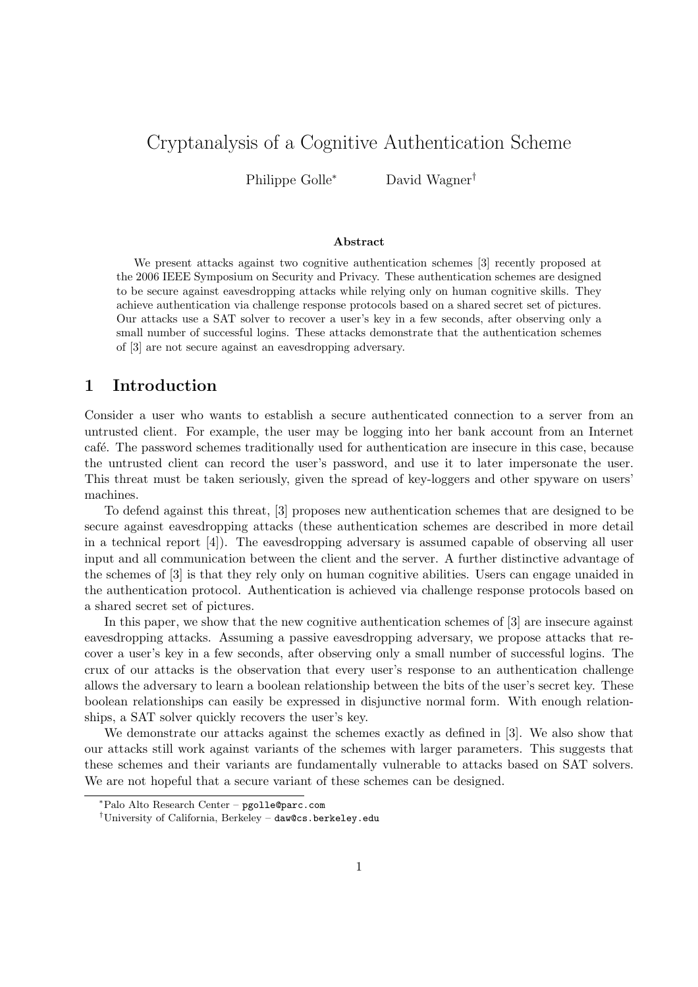# Cryptanalysis of a Cognitive Authentication Scheme

Philippe Golle<sup>∗</sup> David Wagner<sup>†</sup>

#### Abstract

We present attacks against two cognitive authentication schemes [3] recently proposed at the 2006 IEEE Symposium on Security and Privacy. These authentication schemes are designed to be secure against eavesdropping attacks while relying only on human cognitive skills. They achieve authentication via challenge response protocols based on a shared secret set of pictures. Our attacks use a SAT solver to recover a user's key in a few seconds, after observing only a small number of successful logins. These attacks demonstrate that the authentication schemes of [3] are not secure against an eavesdropping adversary.

### 1 Introduction

Consider a user who wants to establish a secure authenticated connection to a server from an untrusted client. For example, the user may be logging into her bank account from an Internet café. The password schemes traditionally used for authentication are insecure in this case, because the untrusted client can record the user's password, and use it to later impersonate the user. This threat must be taken seriously, given the spread of key-loggers and other spyware on users' machines.

To defend against this threat, [3] proposes new authentication schemes that are designed to be secure against eavesdropping attacks (these authentication schemes are described in more detail in a technical report [4]). The eavesdropping adversary is assumed capable of observing all user input and all communication between the client and the server. A further distinctive advantage of the schemes of [3] is that they rely only on human cognitive abilities. Users can engage unaided in the authentication protocol. Authentication is achieved via challenge response protocols based on a shared secret set of pictures.

In this paper, we show that the new cognitive authentication schemes of [3] are insecure against eavesdropping attacks. Assuming a passive eavesdropping adversary, we propose attacks that recover a user's key in a few seconds, after observing only a small number of successful logins. The crux of our attacks is the observation that every user's response to an authentication challenge allows the adversary to learn a boolean relationship between the bits of the user's secret key. These boolean relationships can easily be expressed in disjunctive normal form. With enough relationships, a SAT solver quickly recovers the user's key.

We demonstrate our attacks against the schemes exactly as defined in [3]. We also show that our attacks still work against variants of the schemes with larger parameters. This suggests that these schemes and their variants are fundamentally vulnerable to attacks based on SAT solvers. We are not hopeful that a secure variant of these schemes can be designed.

<sup>∗</sup>Palo Alto Research Center – pgolle@parc.com

<sup>†</sup>University of California, Berkeley – daw@cs.berkeley.edu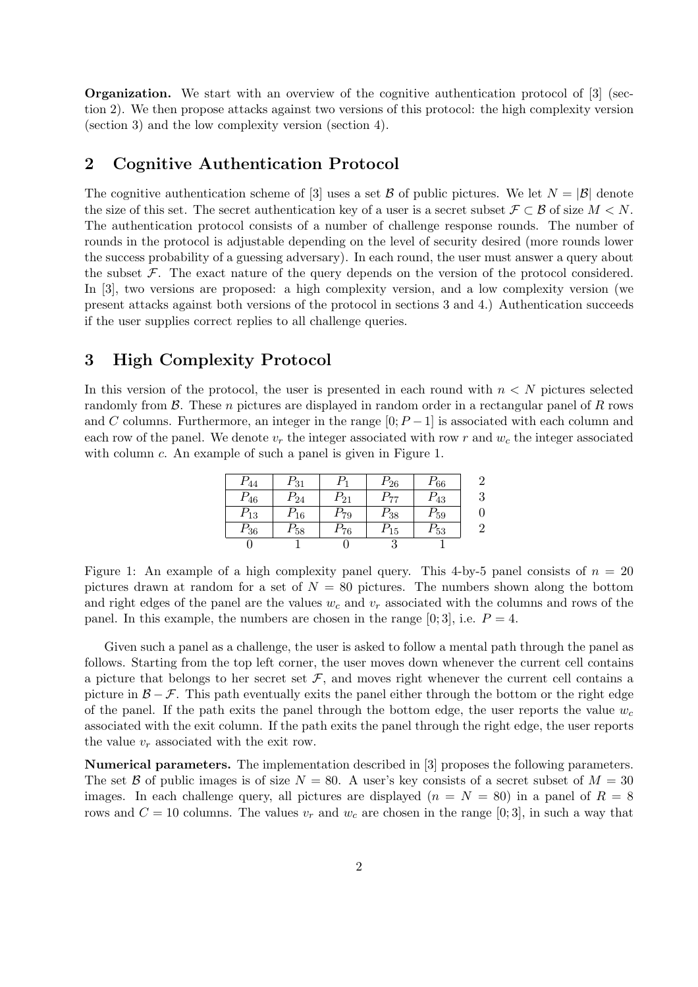Organization. We start with an overview of the cognitive authentication protocol of [3] (section 2). We then propose attacks against two versions of this protocol: the high complexity version (section 3) and the low complexity version (section 4).

### 2 Cognitive Authentication Protocol

The cognitive authentication scheme of [3] uses a set B of public pictures. We let  $N = |\mathcal{B}|$  denote the size of this set. The secret authentication key of a user is a secret subset  $\mathcal{F} \subset \mathcal{B}$  of size  $M \leq N$ . The authentication protocol consists of a number of challenge response rounds. The number of rounds in the protocol is adjustable depending on the level of security desired (more rounds lower the success probability of a guessing adversary). In each round, the user must answer a query about the subset  $\mathcal F$ . The exact nature of the query depends on the version of the protocol considered. In [3], two versions are proposed: a high complexity version, and a low complexity version (we present attacks against both versions of the protocol in sections 3 and 4.) Authentication succeeds if the user supplies correct replies to all challenge queries.

## 3 High Complexity Protocol

In this version of the protocol, the user is presented in each round with  $n < N$  pictures selected randomly from  $\beta$ . These *n* pictures are displayed in random order in a rectangular panel of R rows and C columns. Furthermore, an integer in the range  $[0; P-1]$  is associated with each column and each row of the panel. We denote  $v_r$  the integer associated with row r and  $w_c$  the integer associated with column c. An example of such a panel is given in Figure 1.

| $P_{44}$ | $P_{31}$ | Ρ1       | $P_{26}$ | $P_{66}$ |  |
|----------|----------|----------|----------|----------|--|
| $P_{46}$ | $P_{24}$ | $P_{21}$ | $P_{77}$ | $P_{43}$ |  |
| $P_{13}$ | $P_{16}$ | $P_{79}$ | $P_{38}$ | $P_{59}$ |  |
| $P_{36}$ | $P_{58}$ | $P_{76}$ | $P_{15}$ | $P_{53}$ |  |
|          |          |          |          |          |  |

Figure 1: An example of a high complexity panel query. This 4-by-5 panel consists of  $n = 20$ pictures drawn at random for a set of  $N = 80$  pictures. The numbers shown along the bottom and right edges of the panel are the values  $w_c$  and  $v_r$  associated with the columns and rows of the panel. In this example, the numbers are chosen in the range  $[0;3]$ , i.e.  $P=4$ .

Given such a panel as a challenge, the user is asked to follow a mental path through the panel as follows. Starting from the top left corner, the user moves down whenever the current cell contains a picture that belongs to her secret set  $F$ , and moves right whenever the current cell contains a picture in  $\mathcal{B} - \mathcal{F}$ . This path eventually exits the panel either through the bottom or the right edge of the panel. If the path exits the panel through the bottom edge, the user reports the value  $w_c$ associated with the exit column. If the path exits the panel through the right edge, the user reports the value  $v_r$  associated with the exit row.

Numerical parameters. The implementation described in [3] proposes the following parameters. The set B of public images is of size  $N = 80$ . A user's key consists of a secret subset of  $M = 30$ images. In each challenge query, all pictures are displayed  $(n = N = 80)$  in a panel of  $R = 8$ rows and  $C = 10$  columns. The values  $v_r$  and  $w_c$  are chosen in the range [0; 3], in such a way that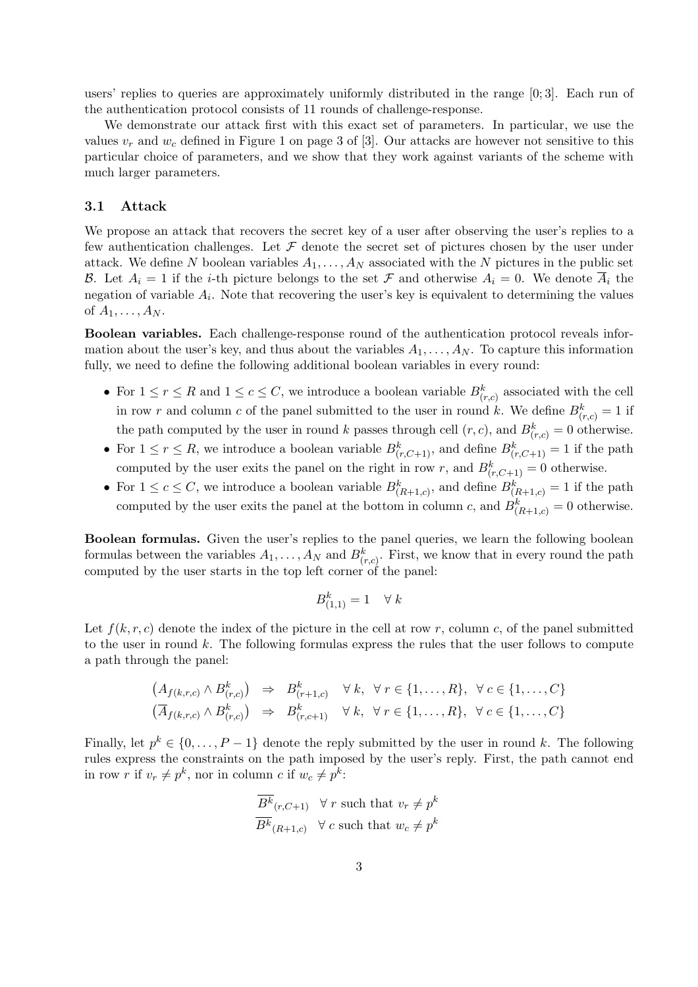users' replies to queries are approximately uniformly distributed in the range [0; 3]. Each run of the authentication protocol consists of 11 rounds of challenge-response.

We demonstrate our attack first with this exact set of parameters. In particular, we use the values  $v_r$  and  $w_c$  defined in Figure 1 on page 3 of [3]. Our attacks are however not sensitive to this particular choice of parameters, and we show that they work against variants of the scheme with much larger parameters.

#### 3.1 Attack

We propose an attack that recovers the secret key of a user after observing the user's replies to a few authentication challenges. Let  $\mathcal F$  denote the secret set of pictures chosen by the user under attack. We define N boolean variables  $A_1, \ldots, A_N$  associated with the N pictures in the public set B. Let  $A_i = 1$  if the *i*-th picture belongs to the set F and otherwise  $A_i = 0$ . We denote  $\overline{A}_i$  the negation of variable  $A_i$ . Note that recovering the user's key is equivalent to determining the values of  $A_1, \ldots, A_N$ .

Boolean variables. Each challenge-response round of the authentication protocol reveals information about the user's key, and thus about the variables  $A_1, \ldots, A_N$ . To capture this information fully, we need to define the following additional boolean variables in every round:

- For  $1 \le r \le R$  and  $1 \le c \le C$ , we introduce a boolean variable  $B_{(r,c)}^k$  associated with the cell in row r and column c of the panel submitted to the user in round k. We define  $B_{(r,c)}^k = 1$  if the path computed by the user in round k passes through cell  $(r, c)$ , and  $B_{(r, c)}^k = 0$  otherwise.
- For  $1 \leq r \leq R$ , we introduce a boolean variable  $B_{(r,C+1)}^k$ , and define  $B_{(r,C+1)}^k = 1$  if the path computed by the user exits the panel on the right in row r, and  $B_{(r,C+1)}^k = 0$  otherwise.
- For  $1 \leq c \leq C$ , we introduce a boolean variable  $B_{(R+1,c)}^k$ , and define  $B_{(R+1,c)}^k = 1$  if the path computed by the user exits the panel at the bottom in column c, and  $B_{(R+1,c)}^k = 0$  otherwise.

Boolean formulas. Given the user's replies to the panel queries, we learn the following boolean formulas between the variables  $A_1, \ldots, A_N$  and  $B_{(r,c)}^k$ . First, we know that in every round the path computed by the user starts in the top left corner of the panel:

$$
B^k_{(1,1)} = 1 \quad \forall \ k
$$

Let  $f(k, r, c)$  denote the index of the picture in the cell at row r, column c, of the panel submitted to the user in round k. The following formulas express the rules that the user follows to compute a path through the panel:

$$
\begin{array}{rcl}\n(A_{f(k,r,c)} \wedge B_{(r,c)}^k) & \Rightarrow & B_{(r+1,c)}^k \quad \forall \ k, \ \forall \ r \in \{1, \dots, R\}, \ \forall \ c \in \{1, \dots, C\} \\
(\overline{A}_{f(k,r,c)} \wedge B_{(r,c)}^k) & \Rightarrow & B_{(r,c+1)}^k \quad \forall \ k, \ \forall \ r \in \{1, \dots, R\}, \ \forall \ c \in \{1, \dots, C\}\n\end{array}
$$

Finally, let  $p^k \in \{0, \ldots, P-1\}$  denote the reply submitted by the user in round k. The following rules express the constraints on the path imposed by the user's reply. First, the path cannot end in row r if  $v_r \neq p^k$ , nor in column c if  $w_c \neq p^k$ :

$$
\frac{\overline{B^k}_{(r,C+1)}}{\overline{B^k}_{(R+1,c)}} \quad \forall \ r \text{ such that } v_r \neq p^k
$$
  

$$
\overline{B^k}_{(R+1,c)} \quad \forall \ c \text{ such that } w_c \neq p^k
$$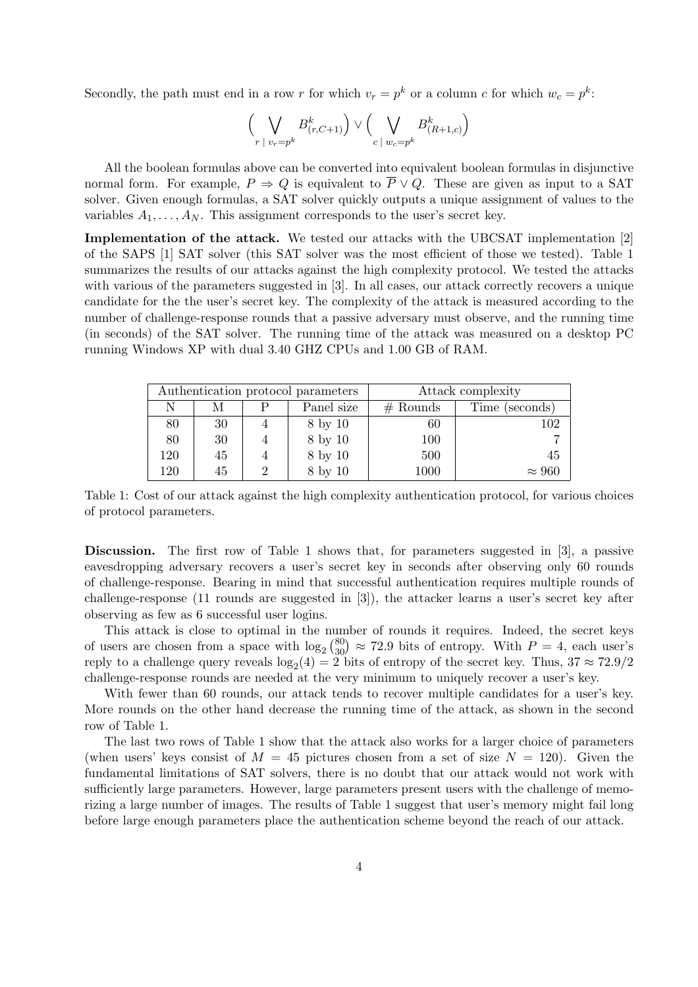Secondly, the path must end in a row r for which  $v_r = p^k$  or a column c for which  $w_c = p^k$ :

$$
\Big(\bigvee_{r \; | \; v_r = p^k} B^k_{(r,C+1)}\Big) \vee \Big(\bigvee_{c \; | \; w_c = p^k} B^k_{(R+1,c)}\Big)
$$

All the boolean formulas above can be converted into equivalent boolean formulas in disjunctive normal form. For example,  $P \Rightarrow Q$  is equivalent to  $\overline{P} \vee Q$ . These are given as input to a SAT solver. Given enough formulas, a SAT solver quickly outputs a unique assignment of values to the variables  $A_1, \ldots, A_N$ . This assignment corresponds to the user's secret key.

Implementation of the attack. We tested our attacks with the UBCSAT implementation [2] of the SAPS [1] SAT solver (this SAT solver was the most efficient of those we tested). Table 1 summarizes the results of our attacks against the high complexity protocol. We tested the attacks with various of the parameters suggested in [3]. In all cases, our attack correctly recovers a unique candidate for the the user's secret key. The complexity of the attack is measured according to the number of challenge-response rounds that a passive adversary must observe, and the running time (in seconds) of the SAT solver. The running time of the attack was measured on a desktop PC running Windows XP with dual 3.40 GHZ CPUs and 1.00 GB of RAM.

| Authentication protocol parameters |    |  |            | Attack complexity |                |
|------------------------------------|----|--|------------|-------------------|----------------|
| N                                  | М  |  | Panel size | $#$ Rounds        | Time (seconds) |
| 80                                 | 30 |  | 8 by 10    | 60                | 102            |
| 80                                 | 30 |  | 8 by 10    | 100               |                |
| 120                                | 45 |  | 8 by 10    | 500               | 45             |
| 120                                | 45 |  | 8 by 10    | 1000              | $\approx 960$  |

Table 1: Cost of our attack against the high complexity authentication protocol, for various choices of protocol parameters.

Discussion. The first row of Table 1 shows that, for parameters suggested in [3], a passive eavesdropping adversary recovers a user's secret key in seconds after observing only 60 rounds of challenge-response. Bearing in mind that successful authentication requires multiple rounds of challenge-response (11 rounds are suggested in [3]), the attacker learns a user's secret key after observing as few as 6 successful user logins.

This attack is close to optimal in the number of rounds it requires. Indeed, the secret keys This attack is close to optimal in the number of rounds it requires. Indeed, the secret keys<br>of users are chosen from a space with  $\log_2 \binom{80}{30} \approx 72.9$  bits of entropy. With  $P = 4$ , each user's reply to a challenge query reveals  $log_2(4) = 2$  bits of entropy of the secret key. Thus,  $37 \approx 72.9/2$ challenge-response rounds are needed at the very minimum to uniquely recover a user's key.

With fewer than 60 rounds, our attack tends to recover multiple candidates for a user's key. More rounds on the other hand decrease the running time of the attack, as shown in the second row of Table 1.

The last two rows of Table 1 show that the attack also works for a larger choice of parameters (when users' keys consist of  $M = 45$  pictures chosen from a set of size  $N = 120$ ). Given the fundamental limitations of SAT solvers, there is no doubt that our attack would not work with sufficiently large parameters. However, large parameters present users with the challenge of memorizing a large number of images. The results of Table 1 suggest that user's memory might fail long before large enough parameters place the authentication scheme beyond the reach of our attack.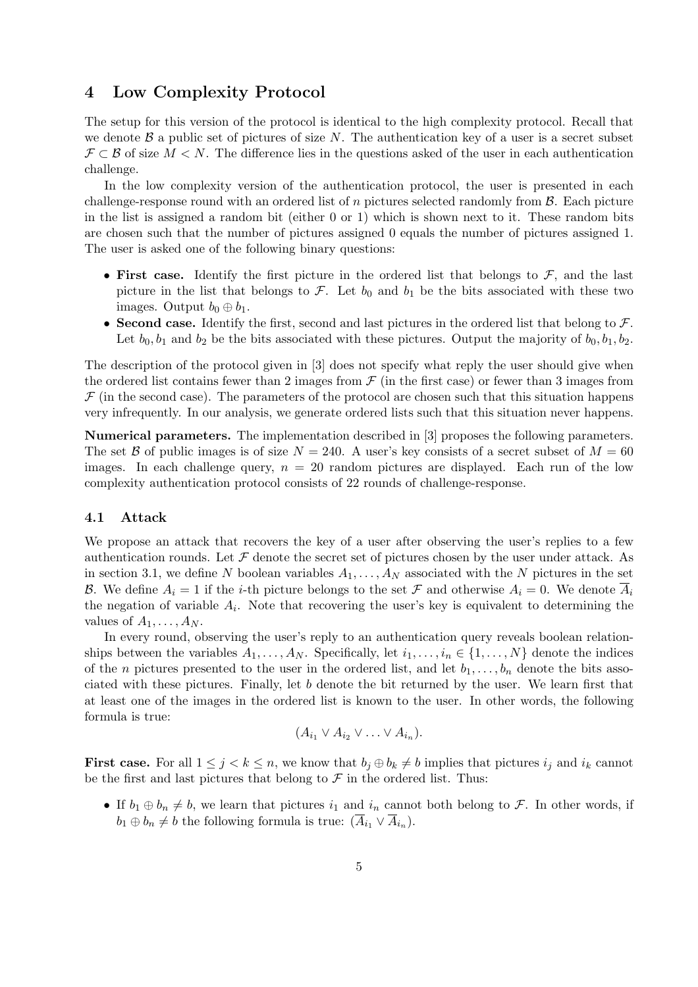### 4 Low Complexity Protocol

The setup for this version of the protocol is identical to the high complexity protocol. Recall that we denote  $\beta$  a public set of pictures of size N. The authentication key of a user is a secret subset  $\mathcal{F} \subset \mathcal{B}$  of size  $M \leq N$ . The difference lies in the questions asked of the user in each authentication challenge.

In the low complexity version of the authentication protocol, the user is presented in each challenge-response round with an ordered list of n pictures selected randomly from  $\beta$ . Each picture in the list is assigned a random bit (either 0 or 1) which is shown next to it. These random bits are chosen such that the number of pictures assigned 0 equals the number of pictures assigned 1. The user is asked one of the following binary questions:

- First case. Identify the first picture in the ordered list that belongs to  $\mathcal{F}$ , and the last picture in the list that belongs to  $\mathcal{F}$ . Let  $b_0$  and  $b_1$  be the bits associated with these two images. Output  $b_0 \oplus b_1$ .
- Second case. Identify the first, second and last pictures in the ordered list that belong to  $\mathcal{F}$ . Let  $b_0, b_1$  and  $b_2$  be the bits associated with these pictures. Output the majority of  $b_0, b_1, b_2$ .

The description of the protocol given in [3] does not specify what reply the user should give when the ordered list contains fewer than 2 images from  $\mathcal F$  (in the first case) or fewer than 3 images from  $\mathcal F$  (in the second case). The parameters of the protocol are chosen such that this situation happens very infrequently. In our analysis, we generate ordered lists such that this situation never happens.

Numerical parameters. The implementation described in [3] proposes the following parameters. The set B of public images is of size  $N = 240$ . A user's key consists of a secret subset of  $M = 60$ images. In each challenge query,  $n = 20$  random pictures are displayed. Each run of the low complexity authentication protocol consists of 22 rounds of challenge-response.

#### 4.1 Attack

We propose an attack that recovers the key of a user after observing the user's replies to a few authentication rounds. Let  $\mathcal F$  denote the secret set of pictures chosen by the user under attack. As in section 3.1, we define N boolean variables  $A_1, \ldots, A_N$  associated with the N pictures in the set B. We define  $A_i = 1$  if the *i*-th picture belongs to the set F and otherwise  $A_i = 0$ . We denote  $\overline{A}_i$ the negation of variable  $A_i$ . Note that recovering the user's key is equivalent to determining the values of  $A_1, \ldots, A_N$ .

In every round, observing the user's reply to an authentication query reveals boolean relationships between the variables  $A_1, \ldots, A_N$ . Specifically, let  $i_1, \ldots, i_n \in \{1, \ldots, N\}$  denote the indices of the *n* pictures presented to the user in the ordered list, and let  $b_1, \ldots, b_n$  denote the bits associated with these pictures. Finally, let b denote the bit returned by the user. We learn first that at least one of the images in the ordered list is known to the user. In other words, the following formula is true:

$$
(A_{i_1} \vee A_{i_2} \vee \ldots \vee A_{i_n}).
$$

**First case.** For all  $1 \leq j < k \leq n$ , we know that  $b_j \oplus b_k \neq b$  implies that pictures  $i_j$  and  $i_k$  cannot be the first and last pictures that belong to  $\mathcal F$  in the ordered list. Thus:

• If  $b_1 \oplus b_n \neq b$ , we learn that pictures  $i_1$  and  $i_n$  cannot both belong to F. In other words, if  $b_1 \oplus b_n \neq b$  the following formula is true:  $(\overline{A}_{i_1} \vee \overline{A}_{i_n}).$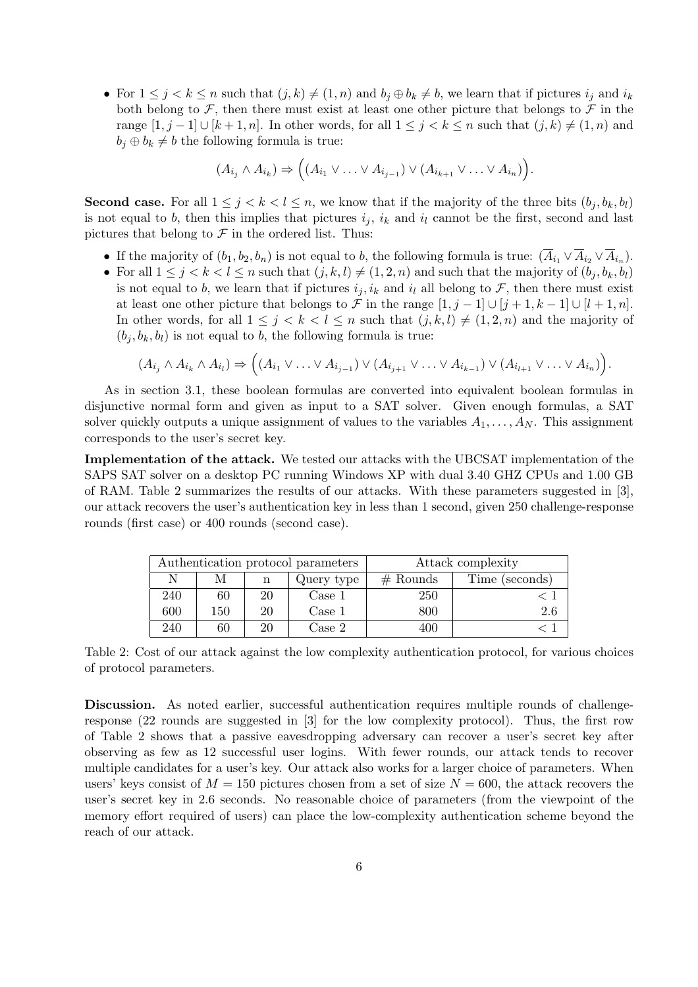• For  $1 \leq j \leq k \leq n$  such that  $(j, k) \neq (1, n)$  and  $b_j \oplus b_k \neq b$ , we learn that if pictures  $i_j$  and  $i_k$ both belong to  $\mathcal F$ , then there must exist at least one other picture that belongs to  $\mathcal F$  in the range  $[1, j - 1] \cup [k + 1, n]$ . In other words, for all  $1 \leq j < k \leq n$  such that  $(j, k) \neq (1, n)$  and  $b_i \oplus b_k \neq b$  the following formula is true:

$$
(A_{i_j} \wedge A_{i_k}) \Rightarrow ((A_{i_1} \vee \ldots \vee A_{i_{j-1}}) \vee (A_{i_{k+1}} \vee \ldots \vee A_{i_n})).
$$

**Second case.** For all  $1 \leq j \leq k \leq l \leq n$ , we know that if the majority of the three bits  $(b_j, b_k, b_l)$ is not equal to b, then this implies that pictures  $i_j$ ,  $i_k$  and  $i_l$  cannot be the first, second and last pictures that belong to  $\mathcal F$  in the ordered list. Thus:

- If the majority of  $(b_1, b_2, b_n)$  is not equal to b, the following formula is true:  $(\overline{A}_{i_1} \vee \overline{A}_{i_2} \vee \overline{A}_{i_n}).$
- For all  $1 \leq j < k < l \leq n$  such that  $(j, k, l) \neq (1, 2, n)$  and such that the majority of  $(b_j, b_k, b_l)$ is not equal to b, we learn that if pictures  $i_j, i_k$  and  $i_l$  all belong to F, then there must exist at least one other picture that belongs to F in the range  $[1, j - 1] \cup [j + 1, k - 1] \cup [l + 1, n]$ . In other words, for all  $1 \leq j \leq k \leq l \leq n$  such that  $(j, k, l) \neq (1, 2, n)$  and the majority of  $(b_i, b_k, b_l)$  is not equal to b, the following formula is true:

$$
(A_{i_j} \wedge A_{i_k} \wedge A_{i_l}) \Rightarrow ((A_{i_1} \vee \ldots \vee A_{i_{j-1}}) \vee (A_{i_{j+1}} \vee \ldots \vee A_{i_{k-1}}) \vee (A_{i_{l+1}} \vee \ldots \vee A_{i_n})).
$$

As in section 3.1, these boolean formulas are converted into equivalent boolean formulas in disjunctive normal form and given as input to a SAT solver. Given enough formulas, a SAT solver quickly outputs a unique assignment of values to the variables  $A_1, \ldots, A_N$ . This assignment corresponds to the user's secret key.

Implementation of the attack. We tested our attacks with the UBCSAT implementation of the SAPS SAT solver on a desktop PC running Windows XP with dual 3.40 GHZ CPUs and 1.00 GB of RAM. Table 2 summarizes the results of our attacks. With these parameters suggested in [3], our attack recovers the user's authentication key in less than 1 second, given 250 challenge-response rounds (first case) or 400 rounds (second case).

| Authentication protocol parameters |     |    |            | Attack complexity |                |
|------------------------------------|-----|----|------------|-------------------|----------------|
| N                                  | М   | n  | Query type | $#$ Rounds        | Time (seconds) |
| 240                                | 60  | 20 | Case 1     | 250               |                |
| 600                                | 150 | 20 | Case 1     | 800               | 2.6            |
| 240                                | 60  |    | Case 2     | 400               |                |

Table 2: Cost of our attack against the low complexity authentication protocol, for various choices of protocol parameters.

Discussion. As noted earlier, successful authentication requires multiple rounds of challengeresponse (22 rounds are suggested in [3] for the low complexity protocol). Thus, the first row of Table 2 shows that a passive eavesdropping adversary can recover a user's secret key after observing as few as 12 successful user logins. With fewer rounds, our attack tends to recover multiple candidates for a user's key. Our attack also works for a larger choice of parameters. When users' keys consist of  $M = 150$  pictures chosen from a set of size  $N = 600$ , the attack recovers the user's secret key in 2.6 seconds. No reasonable choice of parameters (from the viewpoint of the memory effort required of users) can place the low-complexity authentication scheme beyond the reach of our attack.